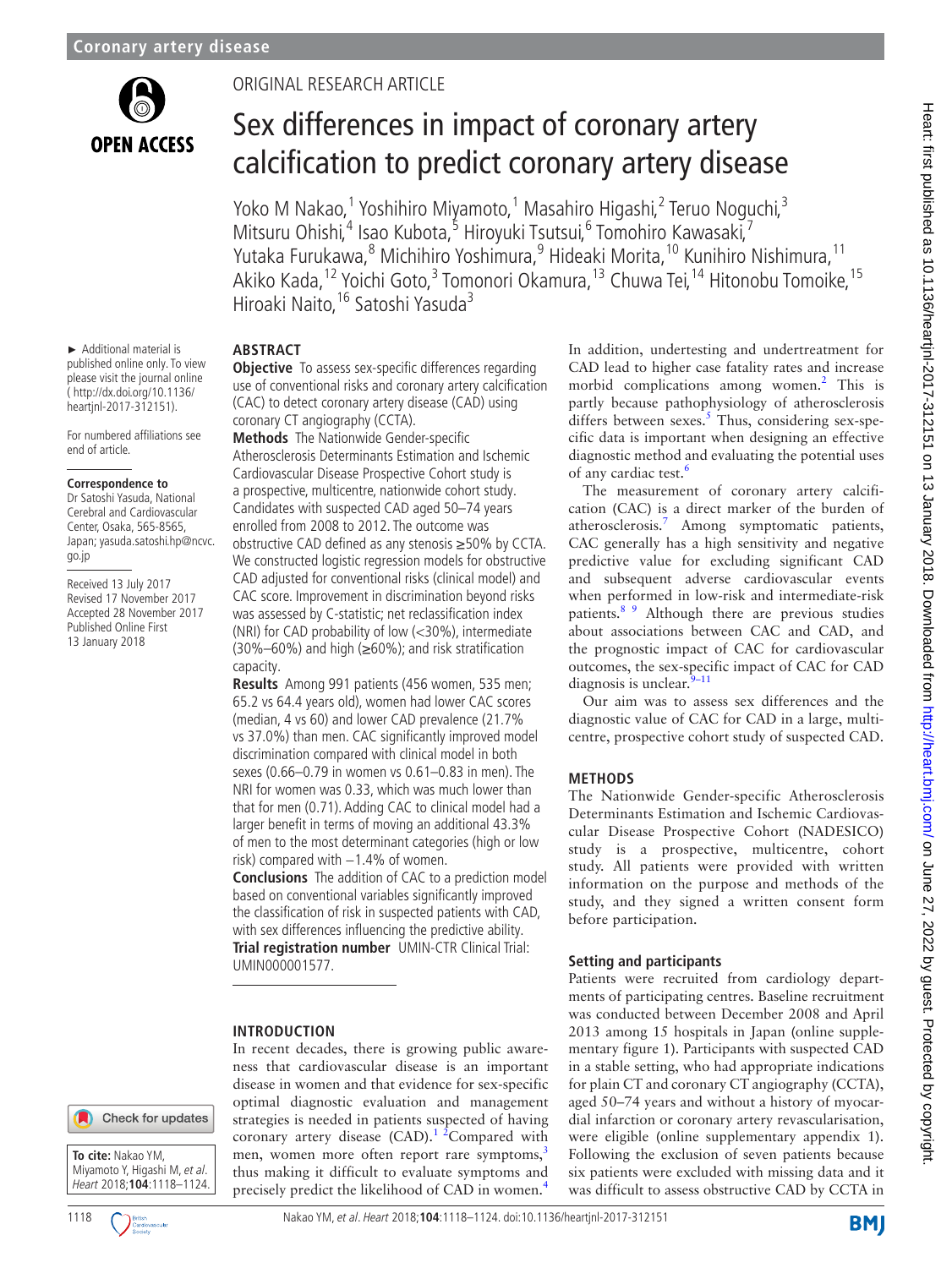

# Original research article

# Sex differences in impact of coronary artery calcification to predict coronary artery disease

Yoko M Nakao,<sup>1</sup> Yoshihiro Miyamoto,<sup>1</sup> Masahiro Higashi,<sup>2</sup> Teruo Noguchi,<sup>3</sup> Mitsuru Ohishi,<sup>4</sup> Isao Kubota,<sup>5</sup> Hiroyuki Tsutsui,<sup>6</sup> Tomohiro Kawasaki,<sup>7</sup> Yutaka Furukawa, <sup>8</sup> Michihiro Yoshimura, <sup>9</sup> Hideaki Morita, <sup>10</sup> Kunihiro Nishimura, <sup>11</sup> Akiko Kada,<sup>12</sup> Yoichi Goto,<sup>3</sup> Tomonori Okamura,<sup>13</sup> Chuwa Tei,<sup>14</sup> Hitonobu Tomoike,<sup>15</sup> Hiroaki Naito, <sup>16</sup> Satoshi Yasuda<sup>3</sup>

► Additional material is published online only. To view please visit the journal online ( http://dx.doi.org/10.1136/ heartjnl-2017-312151).

For numbered affiliations see end of article.

#### **Correspondence to**

Dr Satoshi Yasuda, National Cerebral and Cardiovascular Center, Osaka, 565-8565 Japan; yasuda.satoshi.hp@ncvc. go.jp

Received 13 July 2017 Revised 17 November 2017 Accepted 28 November 2017 Published Online First 13 January 2018

# **Abstract**

**Objective** To assess sex-specific differences regarding use of conventional risks and coronary artery calcification (CAC) to detect coronary artery disease (CAD) using coronary CT angiography (CCTA).

**Methods** The Nationwide Gender-specific Atherosclerosis Determinants Estimation and Ischemic Cardiovascular Disease Prospective Cohort study is a prospective, multicentre, nationwide cohort study. Candidates with suspected CAD aged 50–74 years enrolled from 2008 to 2012. The outcome was obstructive CAD defined as any stenosis ≥50% by CCTA. We constructed logistic regression models for obstructive CAD adjusted for conventional risks (clinical model) and CAC score. Improvement in discrimination beyond risks was assessed by C-statistic; net reclassification index (NRI) for CAD probability of low (<30%), intermediate (30%–60%) and high (≥60%); and risk stratification capacity.

**Results** Among 991 patients (456 women, 535 men; 65.2 vs 64.4 years old), women had lower CAC scores (median, 4 vs 60) and lower CAD prevalence (21.7% vs 37.0%) than men. CAC significantly improved model discrimination compared with clinical model in both sexes (0.66–0.79 in women vs 0.61–0.83 in men). The NRI for women was 0.33, which was much lower than that for men (0.71). Adding CAC to clinical model had a larger benefit in terms of moving an additional 43.3% of men to the most determinant categories (high or low risk) compared with  $-1.4\%$  of women.

**Conclusions** The addition of CAC to a prediction model based on conventional variables significantly improved the classification of risk in suspected patients with CAD, with sex differences influencing the predictive ability. **Trial registration number** UMIN-CTR Clinical Trial: [UMIN000001577.](UMIN000001577%20)

## **Introduction**

In recent decades, there is growing public awareness that cardiovascular disease is an important disease in women and that evidence for sex-specific optimal diagnostic evaluation and management strategies is needed in patients suspected of having coronary artery disease  $(CAD)$ .<sup>1 2</sup>Compared with men, women more often report rare symptoms,<sup>[3](#page-5-1)</sup> thus making it difficult to evaluate symptoms and precisely predict the likelihood of CAD in women.[4](#page-5-2)

In addition, undertesting and undertreatment for CAD lead to higher case fatality rates and increase morbid complications among women.<sup>2</sup> This is partly because pathophysiology of atherosclerosis differs between sexes. $5$  Thus, considering sex-specific data is important when designing an effective diagnostic method and evaluating the potential uses of any cardiac test.<sup>6</sup>

The measurement of coronary artery calcification (CAC) is a direct marker of the burden of atherosclerosis.[7](#page-6-0) Among symptomatic patients, CAC generally has a high sensitivity and negative predictive value for excluding significant CAD and subsequent adverse cardiovascular events when performed in low-risk and intermediate-risk patients.[8 9](#page-6-1) Although there are previous studies about associations between CAC and CAD, and the prognostic impact of CAC for cardiovascular outcomes, the sex-specific impact of CAC for CAD diagnosis is unclear. $9-11$ 

Our aim was to assess sex differences and the diagnostic value of CAC for CAD in a large, multicentre, prospective cohort study of suspected CAD.

## **Methods**

The Nationwide Gender-specific Atherosclerosis Determinants Estimation and Ischemic Cardiovascular Disease Prospective Cohort (NADESICO) study is a prospective, multicentre, cohort study. All patients were provided with written information on the purpose and methods of the study, and they signed a written consent form before participation.

## **Setting and participants**

Patients were recruited from cardiology departments of participating centres. Baseline recruitment was conducted between December 2008 and April 2013 among 15 hospitals in Japan (online [supple](https://dx.doi.org/10.1136/heartjnl-2017-312151)[mentary figure 1\)](https://dx.doi.org/10.1136/heartjnl-2017-312151). Participants with suspected CAD in a stable setting, who had appropriate indications for plain CT and coronary CT angiography (CCTA), aged 50–74 years and without a history of myocardial infarction or coronary artery revascularisation, were eligible (online [supplementary appendix 1\)](https://dx.doi.org/10.1136/heartjnl-2017-312151). Following the exclusion of seven patients because six patients were excluded with missing data and it was difficult to assess obstructive CAD by CCTA in



Check for updates

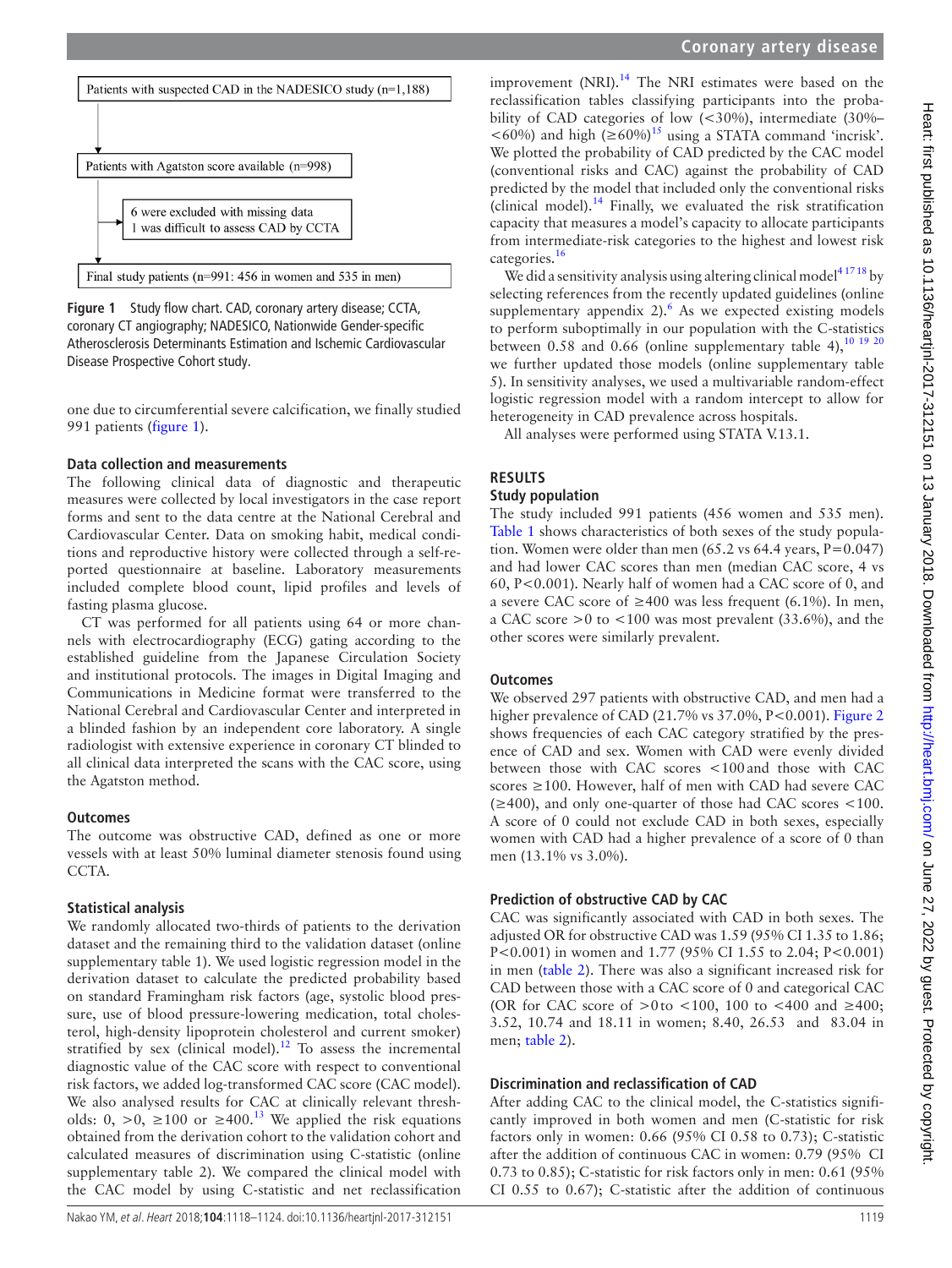



We did a sensitivity analysis using altering clinical model<sup>41718</sup> by selecting references from the recently updated guidelines (online supplementary appendix  $2$ ). As we expected existing models to perform suboptimally in our population with the C-statistics between 0.58 and 0.66 (online [supplementary table 4\)](https://dx.doi.org/10.1136/heartjnl-2017-312151),  $10^{19}$  20 we further updated those models (online [supplementary table](https://dx.doi.org/10.1136/heartjnl-2017-312151) [5\)](https://dx.doi.org/10.1136/heartjnl-2017-312151). In sensitivity analyses, we used a multivariable random-effect logistic regression model with a random intercept to allow for heterogeneity in CAD prevalence across hospitals.

All analyses were performed using STATA V.13.1.

# **Results**

# **Study population**

The study included 991 patients (456 women and 535 men). [Table](#page-2-0) 1 shows characteristics of both sexes of the study population. Women were older than men  $(65.2 \text{ vs } 64.4 \text{ years}, P=0.047)$ and had lower CAC scores than men (median CAC score, 4 vs 60, P<0.001). Nearly half of women had a CAC score of 0, and a severe CAC score of ≥400 was less frequent (6.1%). In men, a CAC score  $>0$  to  $< 100$  was most prevalent (33.6%), and the other scores were similarly prevalent.

# **Outcomes**

We observed 297 patients with obstructive CAD, and men had a higher prevalence of CAD (21.7% vs 37.0%, P<0.001). [Figure](#page-2-1) 2 shows frequencies of each CAC category stratified by the presence of CAD and sex. Women with CAD were evenly divided between those with CAC scores <100and those with CAC scores ≥100. However, half of men with CAD had severe CAC (≥400), and only one-quarter of those had CAC scores <100. A score of 0 could not exclude CAD in both sexes, especially women with CAD had a higher prevalence of a score of 0 than men (13.1% vs 3.0%).

# **Prediction of obstructive CAD by CAC**

CAC was significantly associated with CAD in both sexes. The adjusted OR for obstructive CAD was 1.59 (95% CI 1.35 to 1.86; P<0.001) in women and 1.77 (95% CI 1.55 to 2.04; P<0.001) in men ([table](#page-3-0) 2). There was also a significant increased risk for CAD between those with a CAC score of 0 and categorical CAC (OR for CAC score of >0to <100, 100 to <400 and  $\geq$ 400; 3.52, 10.74 and 18.11 in women; 8.40, 26.53 and 83.04 in men; [table](#page-3-0) 2).

# **Discrimination and reclassification of CAD**

After adding CAC to the clinical model, the C-statistics significantly improved in both women and men (C-statistic for risk factors only in women: 0.66 (95% CI 0.58 to 0.73); C-statistic after the addition of continuous CAC in women: 0.79 (95% CI 0.73 to 0.85); C-statistic for risk factors only in men: 0.61 (95% CI 0.55 to 0.67); C-statistic after the addition of continuous



<span id="page-1-0"></span>**Figure 1** Study flow chart. CAD, coronary artery disease; CCTA, coronary CT angiography; NADESICO, Nationwide Gender-specific Atherosclerosis Determinants Estimation and Ischemic Cardiovascular Disease Prospective Cohort study.

one due to circumferential severe calcification, we finally studied 991 patients [\(figure](#page-1-0) 1).

# **Data collection and measurements**

The following clinical data of diagnostic and therapeutic measures were collected by local investigators in the case report forms and sent to the data centre at the National Cerebral and Cardiovascular Center. Data on smoking habit, medical conditions and reproductive history were collected through a self-reported questionnaire at baseline. Laboratory measurements included complete blood count, lipid profiles and levels of fasting plasma glucose.

CT was performed for all patients using 64 or more channels with electrocardiography (ECG) gating according to the established guideline from the Japanese Circulation Society and institutional protocols. The images in Digital Imaging and Communications in Medicine format were transferred to the National Cerebral and Cardiovascular Center and interpreted in a blinded fashion by an independent core laboratory. A single radiologist with extensive experience in coronary CT blinded to all clinical data interpreted the scans with the CAC score, using the Agatston method.

# **Outcomes**

The outcome was obstructive CAD, defined as one or more vessels with at least 50% luminal diameter stenosis found using CCTA.

# **Statistical analysis**

We randomly allocated two-thirds of patients to the derivation dataset and the remaining third to the validation dataset (online [supplementary table 1\)](https://dx.doi.org/10.1136/heartjnl-2017-312151). We used logistic regression model in the derivation dataset to calculate the predicted probability based on standard Framingham risk factors (age, systolic blood pressure, use of blood pressure-lowering medication, total cholesterol, high-density lipoprotein cholesterol and current smoker) stratified by sex (clinical model).<sup>12</sup> To assess the incremental diagnostic value of the CAC score with respect to conventional risk factors, we added log-transformed CAC score (CAC model). We also analysed results for CAC at clinically relevant thresholds: 0, >0,  $\geq 100$  or  $\geq 400$ .<sup>[13](#page-6-4)</sup> We applied the risk equations obtained from the derivation cohort to the validation cohort and calculated measures of discrimination using C-statistic (online [supplementary table 2\)](https://dx.doi.org/10.1136/heartjnl-2017-312151). We compared the clinical model with the CAC model by using C-statistic and net reclassification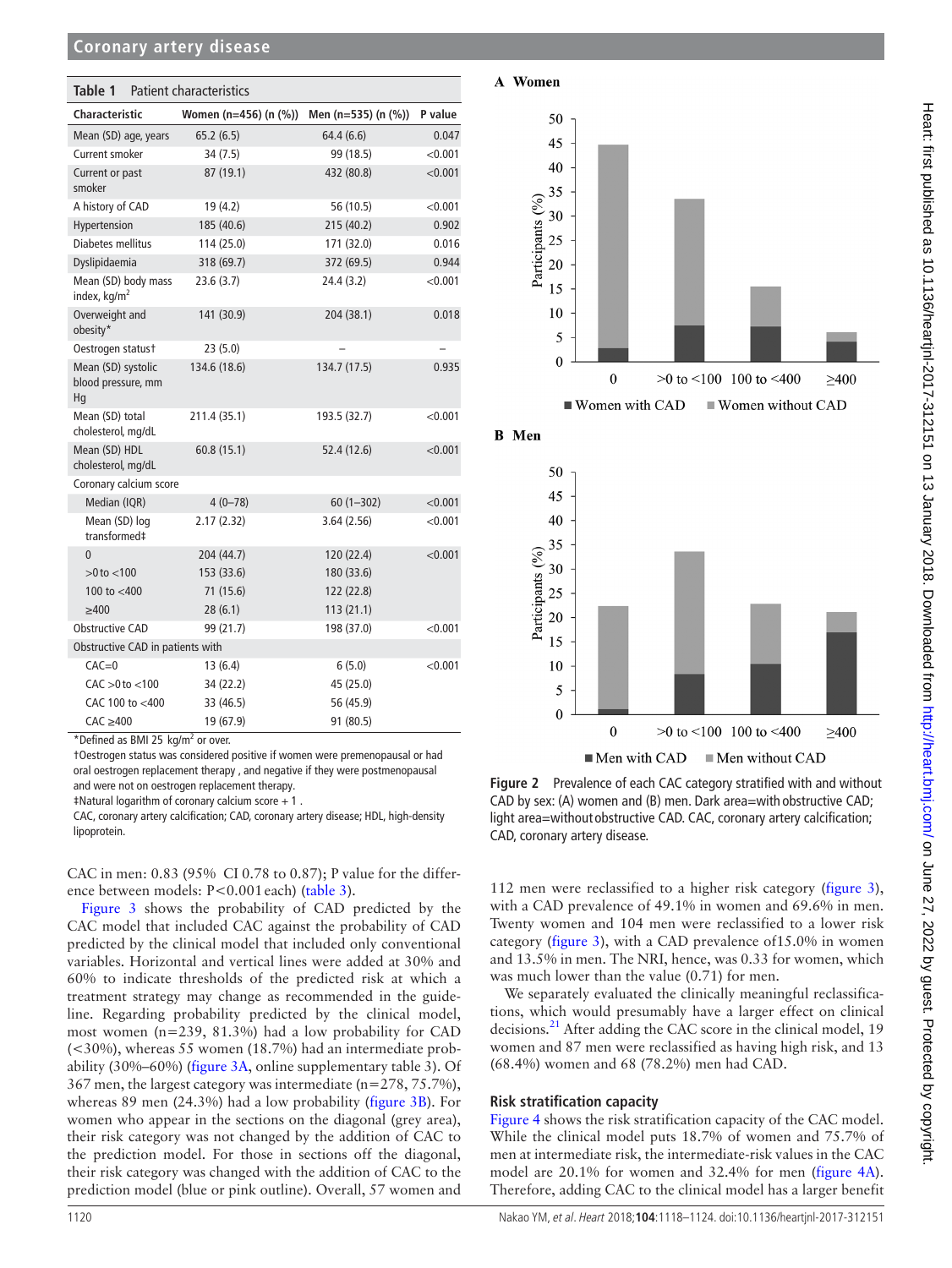## **Coronary artery disease**

<span id="page-2-0"></span>

| Table 1<br><b>Patient characteristics</b>       |                       |                     |         |  |  |  |  |  |
|-------------------------------------------------|-----------------------|---------------------|---------|--|--|--|--|--|
| <b>Characteristic</b>                           | Women (n=456) (n (%)) | Men (n=535) (n (%)) | P value |  |  |  |  |  |
| Mean (SD) age, years                            | 65.2(6.5)             | 64.4(6.6)           | 0.047   |  |  |  |  |  |
| Current smoker                                  | 34(7.5)               | 99 (18.5)           | < 0.001 |  |  |  |  |  |
| Current or past<br>smoker                       | 87 (19.1)             | 432 (80.8)          | < 0.001 |  |  |  |  |  |
| A history of CAD                                | 19 (4.2)              | 56 (10.5)           | < 0.001 |  |  |  |  |  |
| Hypertension                                    | 185 (40.6)            | 215 (40.2)          | 0.902   |  |  |  |  |  |
| Diabetes mellitus                               | 114 (25.0)            | 171 (32.0)          | 0.016   |  |  |  |  |  |
| Dyslipidaemia                                   | 318 (69.7)            | 372 (69.5)          | 0.944   |  |  |  |  |  |
| Mean (SD) body mass<br>index, kg/m <sup>2</sup> | 23.6(3.7)             | 24.4 (3.2)          | < 0.001 |  |  |  |  |  |
| Overweight and<br>obesity*                      | 141 (30.9)            | 204 (38.1)          | 0.018   |  |  |  |  |  |
| Oestrogen statust                               | 23(5.0)               |                     |         |  |  |  |  |  |
| Mean (SD) systolic<br>blood pressure, mm<br>Hq  | 134.6 (18.6)          | 134.7 (17.5)        | 0.935   |  |  |  |  |  |
| Mean (SD) total<br>cholesterol, mg/dL           | 211.4 (35.1)          | 193.5 (32.7)        | < 0.001 |  |  |  |  |  |
| Mean (SD) HDL<br>cholesterol, mg/dL             | 60.8(15.1)            | 52.4 (12.6)         | < 0.001 |  |  |  |  |  |
| Coronary calcium score                          |                       |                     |         |  |  |  |  |  |
| Median (IQR)                                    | $4(0 - 78)$           | $60(1-302)$         | < 0.001 |  |  |  |  |  |
| Mean (SD) log<br>transformed‡                   | 2.17(2.32)            | 3.64(2.56)          | < 0.001 |  |  |  |  |  |
| $\Omega$                                        | 204 (44.7)            | 120 (22.4)          | < 0.001 |  |  |  |  |  |
| $>0$ to $<$ 100                                 | 153 (33.6)            | 180 (33.6)          |         |  |  |  |  |  |
| 100 to $<$ 400                                  | 71 (15.6)             | 122 (22.8)          |         |  |  |  |  |  |
| $\geq 400$                                      | 28(6.1)               | 113(21.1)           |         |  |  |  |  |  |
| <b>Obstructive CAD</b>                          | 99 (21.7)             | 198 (37.0)          | < 0.001 |  |  |  |  |  |
| Obstructive CAD in patients with                |                       |                     |         |  |  |  |  |  |
| $CAC=0$                                         | 13(6.4)               | 6(5.0)              | < 0.001 |  |  |  |  |  |
| $CAC > 0$ to $< 100$                            | 34 (22.2)             | 45 (25.0)           |         |  |  |  |  |  |
| CAC 100 to <400                                 | 33 (46.5)             | 56 (45.9)           |         |  |  |  |  |  |
| $CAC \geq 400$                                  | 19 (67.9)             | 91 (80.5)           |         |  |  |  |  |  |

 $*$ Defined as BMI 25  $kg/m<sup>2</sup>$  or over.

†Oestrogen status was considered positive if women were premenopausal or had oral oestrogen replacement therapy , and negative if they were postmenopausal and were not on oestrogen replacement therapy.

‡Natural logarithm of coronary calcium score + 1 .

CAC, coronary artery calcification; CAD, coronary artery disease; HDL, high-density lipoprotein.

CAC in men: 0.83 (95% CI 0.78 to 0.87); P value for the differ-ence between models: P<0.001 each) [\(table](#page-3-1) 3).

[Figure](#page-4-0) 3 shows the probability of CAD predicted by the CAC model that included CAC against the probability of CAD predicted by the clinical model that included only conventional variables. Horizontal and vertical lines were added at 30% and 60% to indicate thresholds of the predicted risk at which a treatment strategy may change as recommended in the guideline. Regarding probability predicted by the clinical model, most women (n=239, 81.3%) had a low probability for CAD (<30%), whereas 55 women (18.7%) had an intermediate probability (30%–60%) ([figure](#page-4-0) 3A, online [supplementary table 3\)](https://dx.doi.org/10.1136/heartjnl-2017-312151). Of 367 men, the largest category was intermediate (n=278, 75.7%), whereas 89 men (24.3%) had a low probability [\(figure](#page-4-0) 3B). For women who appear in the sections on the diagonal (grey area), their risk category was not changed by the addition of CAC to the prediction model. For those in sections off the diagonal, their risk category was changed with the addition of CAC to the prediction model (blue or pink outline). Overall, 57 women and



**B** Men





<span id="page-2-1"></span>112 men were reclassified to a higher risk category ([figure](#page-4-0) 3), **Figure 2** Prevalence of each CAC category stratified with and without CAD by sex: (A) women and (B) men. Dark area=with obstructive CAD; light area=without obstructive CAD. CAC, coronary artery calcification;

with a CAD prevalence of 49.1% in women and 69.6% in men. Twenty women and 104 men were reclassified to a lower risk category [\(figure](#page-4-0) 3), with a CAD prevalence of15.0% in women and 13.5% in men. The NRI, hence, was 0.33 for women, which was much lower than the value (0.71) for men.

We separately evaluated the clinically meaningful reclassifications, which would presumably have a larger effect on clinical decisions.<sup>21</sup> After adding the CAC score in the clinical model, 19 women and 87 men were reclassified as having high risk, and 13 (68.4%) women and 68 (78.2%) men had CAD.

#### **Risk stratification capacity**

CAD, coronary artery disease.

[Figure](#page-4-1) 4 shows the risk stratification capacity of the CAC model. While the clinical model puts 18.7% of women and 75.7% of men at intermediate risk, the intermediate-risk values in the CAC model are 20.1% for women and 32.4% for men ([figure](#page-4-1) 4A). Therefore, adding CAC to the clinical model has a larger benefit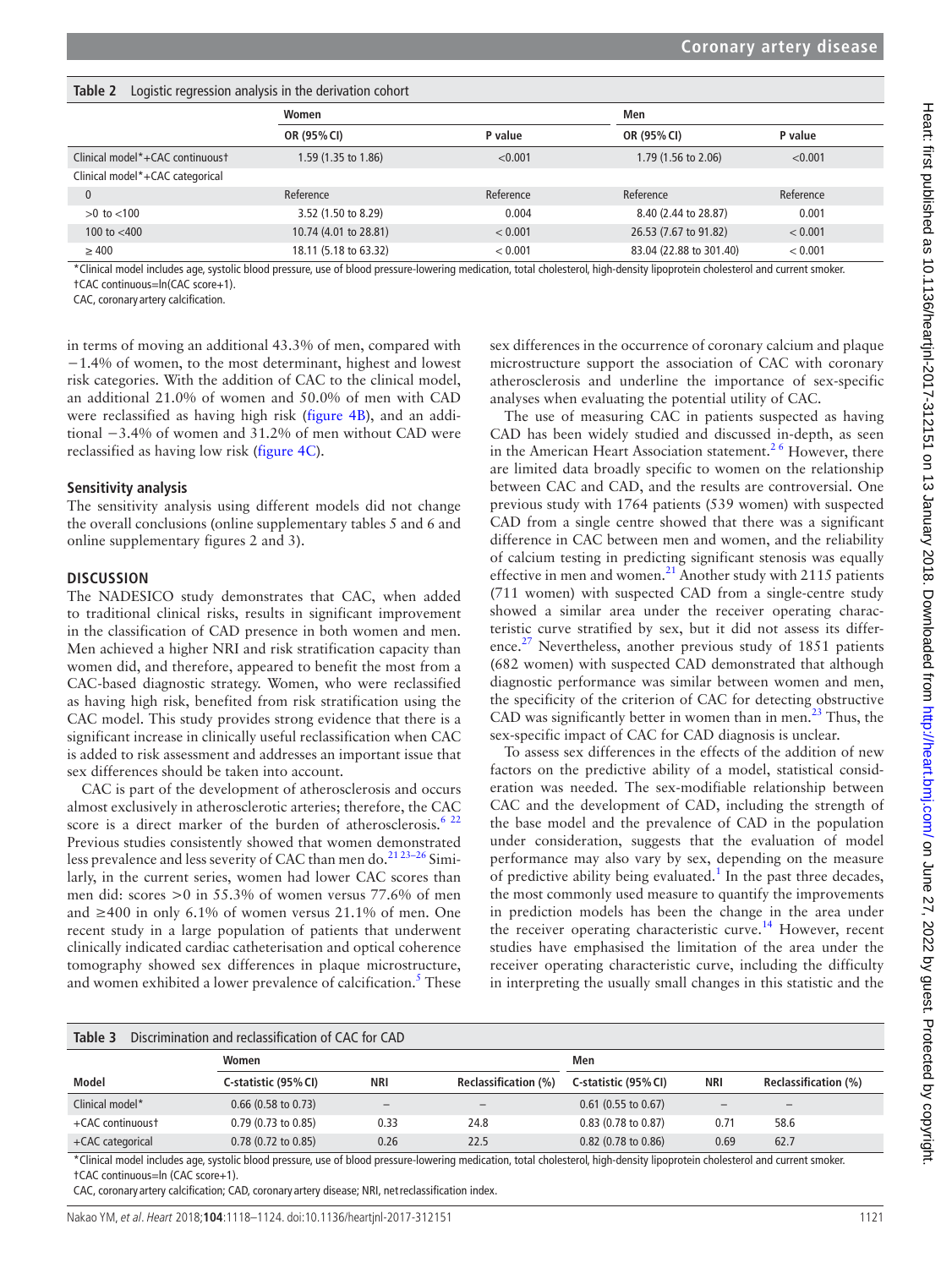| Taple 2<br>LOGISTIC regression analysis in the derivation conort |                       |           |                         |           |  |  |  |  |  |  |
|------------------------------------------------------------------|-----------------------|-----------|-------------------------|-----------|--|--|--|--|--|--|
|                                                                  | Women                 |           | Men                     |           |  |  |  |  |  |  |
|                                                                  | OR (95% CI)           | P value   | OR (95% CI)             | P value   |  |  |  |  |  |  |
| Clinical model*+CAC continuoust                                  | 1.59 (1.35 to 1.86)   | < 0.001   | 1.79 (1.56 to 2.06)     | < 0.001   |  |  |  |  |  |  |
| Clinical model*+CAC categorical                                  |                       |           |                         |           |  |  |  |  |  |  |
|                                                                  | Reference             | Reference | Reference               | Reference |  |  |  |  |  |  |
| $>0$ to $< 100$                                                  | 3.52 (1.50 to 8.29)   | 0.004     | 8.40 (2.44 to 28.87)    | 0.001     |  |  |  |  |  |  |
| 100 to $<$ 400                                                   | 10.74 (4.01 to 28.81) | < 0.001   | 26.53 (7.67 to 91.82)   | < 0.001   |  |  |  |  |  |  |
| $\geq 400$                                                       | 18.11 (5.18 to 63.32) | < 0.001   | 83.04 (22.88 to 301.40) | < 0.001   |  |  |  |  |  |  |

\*Clinical model includes age, systolic blood pressure, use of blood pressure-lowering medication, total cholesterol, high-density lipoprotein cholesterol and current smoker. †CAC continuous=ln(CAC score+1).

CAC, coronary artery calcification.

in terms of moving an additional 43.3% of men, compared with −1.4% of women, to the most determinant, highest and lowest risk categories. With the addition of CAC to the clinical model, an additional 21.0% of women and 50.0% of men with CAD were reclassified as having high risk [\(figure](#page-4-1) 4B), and an additional −3.4% of women and 31.2% of men without CAD were reclassified as having low risk [\(figure](#page-4-1) 4C).

<span id="page-3-0"></span>**Table 2** Logistic regression analysis in the derivation cohort

#### **Sensitivity analysis**

The sensitivity analysis using different models did not change the overall conclusions (online [supplementary tables 5 and 6](https://dx.doi.org/10.1136/heartjnl-2017-312151) and online [supplementary figures 2 and 3](https://dx.doi.org/10.1136/heartjnl-2017-312151)).

#### **Discussion**

The NADESICO study demonstrates that CAC, when added to traditional clinical risks, results in significant improvement in the classification of CAD presence in both women and men. Men achieved a higher NRI and risk stratification capacity than women did, and therefore, appeared to benefit the most from a CAC-based diagnostic strategy. Women, who were reclassified as having high risk, benefited from risk stratification using the CAC model. This study provides strong evidence that there is a significant increase in clinically useful reclassification when CAC is added to risk assessment and addresses an important issue that sex differences should be taken into account.

CAC is part of the development of atherosclerosis and occurs almost exclusively in atherosclerotic arteries; therefore, the CAC score is a direct marker of the burden of atherosclerosis.<sup>[6 22](#page-5-5)</sup> Previous studies consistently showed that women demonstrated less prevalence and less severity of CAC than men do.<sup>21 23-26</sup> Similarly, in the current series, women had lower CAC scores than men did: scores >0 in 55.3% of women versus 77.6% of men and  $\geq 400$  in only 6.1% of women versus 21.1% of men. One recent study in a large population of patients that underwent clinically indicated cardiac catheterisation and optical coherence tomography showed sex differences in plaque microstructure, and women exhibited a lower prevalence of calcification.<sup>5</sup> These sex differences in the occurrence of coronary calcium and plaque microstructure support the association of CAC with coronary atherosclerosis and underline the importance of sex-specific analyses when evaluating the potential utility of CAC.

The use of measuring CAC in patients suspected as having CAD has been widely studied and discussed in-depth, as seen in the American Heart Association statement.<sup>26</sup> However, there are limited data broadly specific to women on the relationship between CAC and CAD, and the results are controversial. One previous study with 1764 patients (539 women) with suspected CAD from a single centre showed that there was a significant difference in CAC between men and women, and the reliability of calcium testing in predicting significant stenosis was equally effective in men and women.<sup>[21](#page-6-9)</sup> Another study with 2115 patients (711 women) with suspected CAD from a single-centre study showed a similar area under the receiver operating characteristic curve stratified by sex, but it did not assess its differ-ence.<sup>[27](#page-6-10)</sup> Nevertheless, another previous study of 1851 patients (682 women) with suspected CAD demonstrated that although diagnostic performance was similar between women and men, the specificity of the criterion of CAC for detecting obstructive CAD was significantly better in women than in men.<sup>23</sup> Thus, the sex-specific impact of CAC for CAD diagnosis is unclear.

To assess sex differences in the effects of the addition of new factors on the predictive ability of a model, statistical consideration was needed. The sex-modifiable relationship between CAC and the development of CAD, including the strength of the base model and the prevalence of CAD in the population under consideration, suggests that the evaluation of model performance may also vary by sex, depending on the measure of predictive ability being evaluated.<sup>[1](#page-5-0)</sup> In the past three decades, the most commonly used measure to quantify the improvements in prediction models has been the change in the area under the receiver operating characteristic curve.<sup>[14](#page-6-5)</sup> However, recent studies have emphasised the limitation of the area under the receiver operating characteristic curve, including the difficulty in interpreting the usually small changes in this statistic and the

<span id="page-3-1"></span>

| Table 3<br>Discrimination and reclassification of CAC for CAD |            |                             |                               |                          |                             |  |  |  |  |  |
|---------------------------------------------------------------|------------|-----------------------------|-------------------------------|--------------------------|-----------------------------|--|--|--|--|--|
| Women                                                         |            |                             | Men                           |                          |                             |  |  |  |  |  |
| C-statistic (95% CI)                                          | <b>NRI</b> | <b>Reclassification (%)</b> | C-statistic (95% CI)          | NRI                      | <b>Reclassification (%)</b> |  |  |  |  |  |
| $0.66$ (0.58 to 0.73)                                         |            |                             | $0.61$ (0.55 to 0.67)         | $\overline{\phantom{m}}$ | $\qquad \qquad -$           |  |  |  |  |  |
| $0.79$ (0.73 to 0.85)                                         | 0.33       | 24.8                        | $0.83(0.78 \text{ to } 0.87)$ | 0.71                     | 58.6                        |  |  |  |  |  |
| $0.78$ (0.72 to 0.85)                                         | 0.26       | 22.5                        | $0.82$ (0.78 to 0.86)         | 0.69                     | 62.7                        |  |  |  |  |  |
|                                                               | .          | .                           |                               |                          |                             |  |  |  |  |  |

\*Clinical model includes age, systolic blood pressure, use of blood pressure-lowering medication, total cholesterol, high-density lipoprotein cholesterol and current smoker. †CAC continuous=ln (CAC score+1).

CAC, coronary artery calcification; CAD, coronary artery disease; NRI, netreclassification index.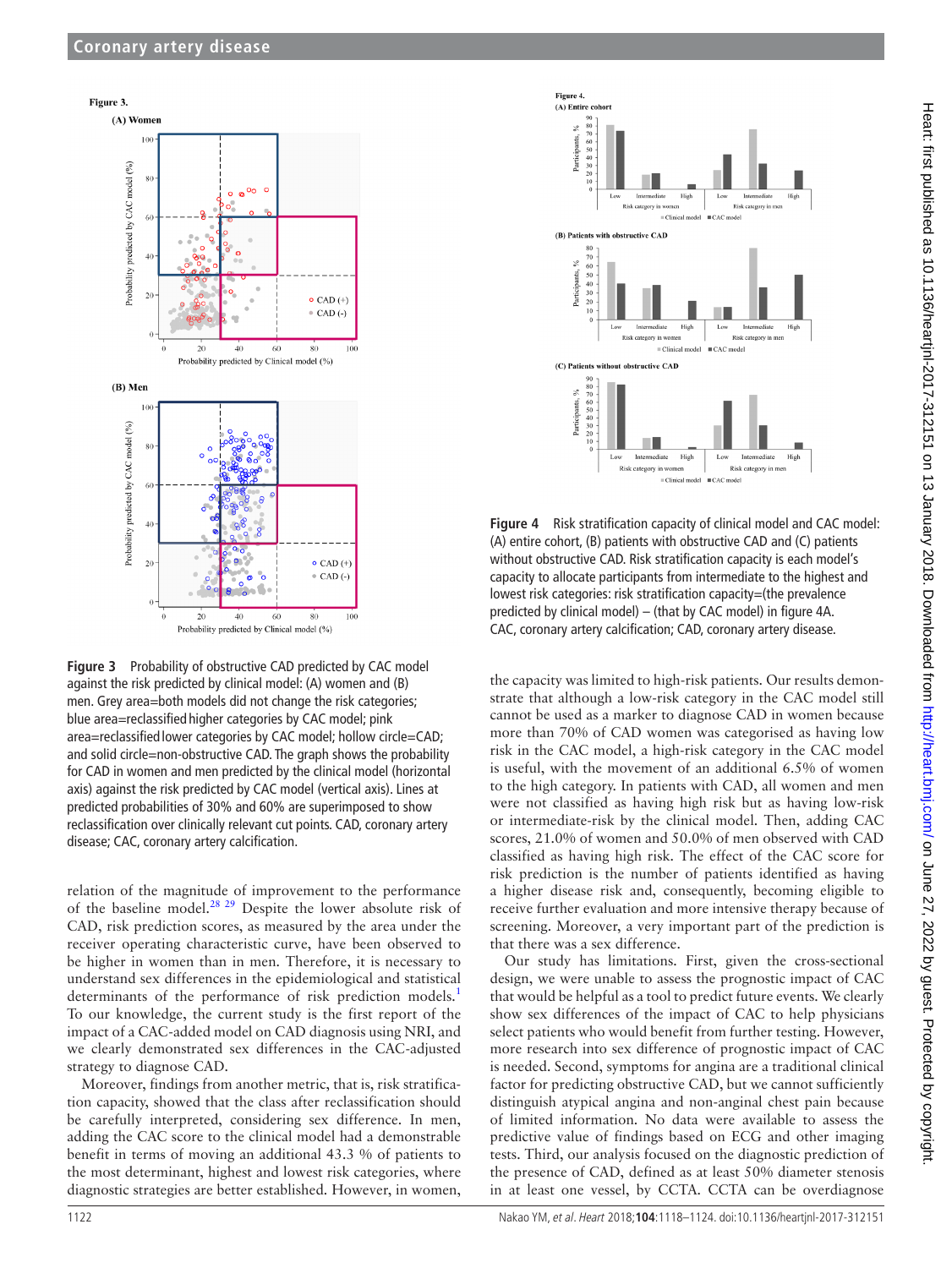

<span id="page-4-0"></span>**Figure 3** Probability of obstructive CAD predicted by CAC model against the risk predicted by clinical model: (A) women and (B) men. Grey area=both models did not change the risk categories; blue area=reclassified higher categories by CAC model; pink area=reclassified lower categories by CAC model; hollow circle=CAD; and solid circle=non-obstructive CAD. The graph shows the probability for CAD in women and men predicted by the clinical model (horizontal axis) against the risk predicted by CAC model (vertical axis). Lines at predicted probabilities of 30% and 60% are superimposed to show reclassification over clinically relevant cut points. CAD, coronary artery disease; CAC, coronary artery calcification.

relation of the magnitude of improvement to the performance of the baseline model.[28 29](#page-6-12) Despite the lower absolute risk of CAD, risk prediction scores, as measured by the area under the receiver operating characteristic curve, have been observed to be higher in women than in men. Therefore, it is necessary to understand sex differences in the epidemiological and statistical determinants of the performance of risk prediction models.<sup>1</sup> To our knowledge, the current study is the first report of the impact of a CAC-added model on CAD diagnosis using NRI, and we clearly demonstrated sex differences in the CAC-adjusted strategy to diagnose CAD.

Moreover, findings from another metric, that is, risk stratification capacity, showed that the class after reclassification should be carefully interpreted, considering sex difference. In men, adding the CAC score to the clinical model had a demonstrable benefit in terms of moving an additional 43.3 % of patients to the most determinant, highest and lowest risk categories, where diagnostic strategies are better established. However, in women,



<span id="page-4-1"></span>**Figure 4** Risk stratification capacity of clinical model and CAC model: (A) entire cohort, (B) patients with obstructive CAD and (C) patients without obstructive CAD. Risk stratification capacity is each model's capacity to allocate participants from intermediate to the highest and lowest risk categories: risk stratification capacity=(the prevalence predicted by clinical model) – (that by CAC model) in [figure 4A](#page-4-1). CAC, coronary artery calcification; CAD, coronary artery disease.

the capacity was limited to high-risk patients. Our results demonstrate that although a low-risk category in the CAC model still cannot be used as a marker to diagnose CAD in women because more than 70% of CAD women was categorised as having low risk in the CAC model, a high-risk category in the CAC model is useful, with the movement of an additional 6.5% of women to the high category. In patients with CAD, all women and men were not classified as having high risk but as having low-risk or intermediate-risk by the clinical model. Then, adding CAC scores, 21.0% of women and 50.0% of men observed with CAD classified as having high risk. The effect of the CAC score for risk prediction is the number of patients identified as having a higher disease risk and, consequently, becoming eligible to receive further evaluation and more intensive therapy because of screening. Moreover, a very important part of the prediction is that there was a sex difference.

Our study has limitations. First, given the cross-sectional design, we were unable to assess the prognostic impact of CAC that would be helpful as a tool to predict future events. We clearly show sex differences of the impact of CAC to help physicians select patients who would benefit from further testing. However, more research into sex difference of prognostic impact of CAC is needed. Second, symptoms for angina are a traditional clinical factor for predicting obstructive CAD, but we cannot sufficiently distinguish atypical angina and non-anginal chest pain because of limited information. No data were available to assess the predictive value of findings based on ECG and other imaging tests. Third, our analysis focused on the diagnostic prediction of the presence of CAD, defined as at least 50% diameter stenosis in at least one vessel, by CCTA. CCTA can be overdiagnose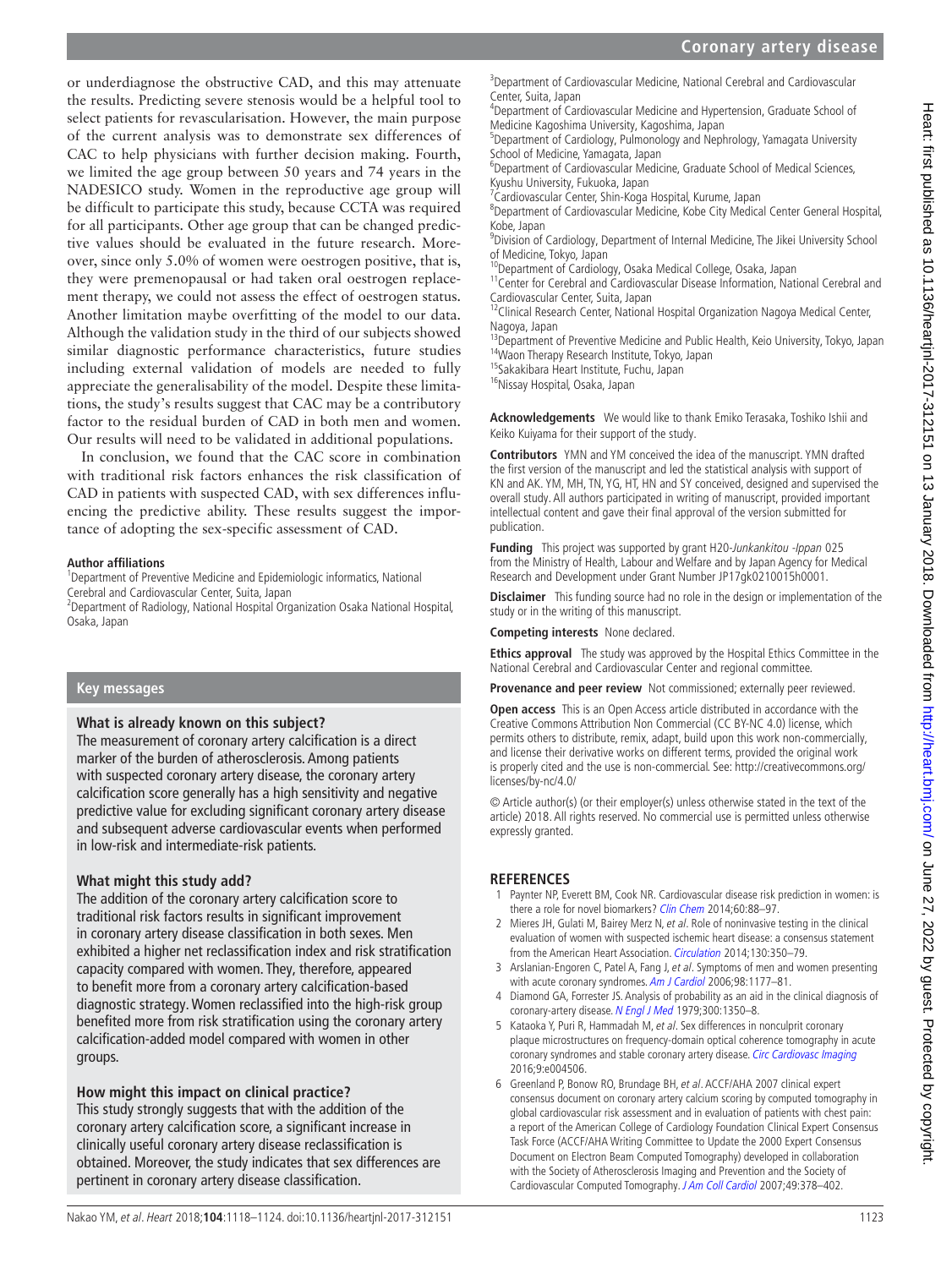or underdiagnose the obstructive CAD, and this may attenuate the results. Predicting severe stenosis would be a helpful tool to select patients for revascularisation. However, the main purpose of the current analysis was to demonstrate sex differences of CAC to help physicians with further decision making. Fourth, we limited the age group between 50 years and 74 years in the NADESICO study. Women in the reproductive age group will be difficult to participate this study, because CCTA was required for all participants. Other age group that can be changed predictive values should be evaluated in the future research. Moreover, since only 5.0% of women were oestrogen positive, that is, they were premenopausal or had taken oral oestrogen replacement therapy, we could not assess the effect of oestrogen status. Another limitation maybe overfitting of the model to our data. Although the validation study in the third of our subjects showed similar diagnostic performance characteristics, future studies including external validation of models are needed to fully appreciate the generalisability of the model. Despite these limitations, the study's results suggest that CAC may be a contributory factor to the residual burden of CAD in both men and women. Our results will need to be validated in additional populations.

In conclusion, we found that the CAC score in combination with traditional risk factors enhances the risk classification of CAD in patients with suspected CAD, with sex differences influencing the predictive ability. These results suggest the importance of adopting the sex-specific assessment of CAD.

# **Author affiliations**

<sup>1</sup>Department of Preventive Medicine and Epidemiologic informatics, National Cerebral and Cardiovascular Center, Suita, Japan <sup>2</sup>

Department of Radiology, National Hospital Organization Osaka National Hospital, Osaka, Japan

# **Key messages**

# **What is already known on this subject?**

The measurement of coronary artery calcification is a direct marker of the burden of atherosclerosis. Among patients with suspected coronary artery disease, the coronary artery calcification score generally has a high sensitivity and negative predictive value for excluding significant coronary artery disease and subsequent adverse cardiovascular events when performed in low-risk and intermediate-risk patients.

# **What might this study add?**

The addition of the coronary artery calcification score to traditional risk factors results in significant improvement in coronary artery disease classification in both sexes. Men exhibited a higher net reclassification index and risk stratification capacity compared with women. They, therefore, appeared to benefit more from a coronary artery calcification-based diagnostic strategy. Women reclassified into the high-risk group benefited more from risk stratification using the coronary artery calcification-added model compared with women in other groups.

# **How might this impact on clinical practice?**

This study strongly suggests that with the addition of the coronary artery calcification score, a significant increase in clinically useful coronary artery disease reclassification is obtained. Moreover, the study indicates that sex differences are <sup>3</sup>Department of Cardiovascular Medicine, National Cerebral and Cardiovascular Center, Suita, Japan <sup>4</sup>

<sup>4</sup>Department of Cardiovascular Medicine and Hypertension, Graduate School of Medicine Kagoshima University, Kagoshima, Japan <sup>5</sup>

<sup>5</sup>Department of Cardiology, Pulmonology and Nephrology, Yamagata University School of Medicine, Yamagata, Japan

<sup>6</sup>Department of Cardiovascular Medicine, Graduate School of Medical Sciences, Kyushu University, Fukuoka, Japan

<sup>7</sup> Cardiovascular Center, Shin-Koga Hospital, Kurume, Japan<br><sup>8</sup> Department of Cardiovascular Medicine, Kobe City Medici

Department of Cardiovascular Medicine, Kobe City Medical Center General Hospital, Kobe, Japan

<sup>9</sup> Division of Cardiology, Department of Internal Medicine, The Jikei University School of Medicine, Tokyo, Japan 10Department of Cardiology, Osaka, Japan 10Department of Cardiology, Osaka Medical College, Osaka, Japan 11Center for Cerebral and Cardiovascular Disease Information, National Cerebral and

Cardiovascular Center, Suita, Japan<br><sup>12</sup>Clinical Research Center, National Hospital Organization Nagoya Medical Center,

Nagoya, Japan

<sup>13</sup>Department of Preventive Medicine and Public Health, Keio University, Tokyo, Japan <sup>14</sup>Waon Therapy Research Institute, Tokyo, Japan 15Sakakibara Heart Institute, Fuchu, Japan 16Nissay Hospital, Osaka, Japan 16Nissay

**Acknowledgements** We would like to thank Emiko Terasaka, Toshiko Ishii and Keiko Kuiyama for their support of the study.

**Contributors** YMN and YM conceived the idea of the manuscript. YMN drafted the first version of the manuscript and led the statistical analysis with support of KN and AK. YM, MH, TN, YG, HT, HN and SY conceived, designed and supervised the overall study. All authors participated in writing of manuscript, provided important intellectual content and gave their final approval of the version submitted for publication.

**Funding** This project was supported by grant H20-Junkankitou -Ippan 025 from the Ministry of Health, Labour and Welfare and by Japan Agency for Medical Research and Development under Grant Number JP17gk0210015h0001.

**Disclaimer** This funding source had no role in the design or implementation of the study or in the writing of this manuscript.

**Competing interests** None declared.

**Ethics approval** The study was approved by the Hospital Ethics Committee in the National Cerebral and Cardiovascular Center and regional committee.

**Provenance and peer review** Not commissioned; externally peer reviewed.

**Open access** This is an Open Access article distributed in accordance with the Creative Commons Attribution Non Commercial (CC BY-NC 4.0) license, which permits others to distribute, remix, adapt, build upon this work non-commercially, and license their derivative works on different terms, provided the original work is properly cited and the use is non-commercial. See: [http://creativecommons.org/](http://creativecommons.org/licenses/by-nc/4.0/) [licenses/by-nc/4.0/](http://creativecommons.org/licenses/by-nc/4.0/)

© Article author(s) (or their employer(s) unless otherwise stated in the text of the article) 2018. All rights reserved. No commercial use is permitted unless otherwise expressly granted.

# **References**

- <span id="page-5-0"></span>Paynter NP, Everett BM, Cook NR. Cardiovascular disease risk prediction in women: is there a role for novel biomarkers? [Clin Chem](http://dx.doi.org/10.1373/clinchem.2013.202796) 2014;60:88-97.
- <span id="page-5-3"></span>2 Mieres JH, Gulati M, Bairey Merz N, et al. Role of noninvasive testing in the clinical evaluation of women with suspected ischemic heart disease: a consensus statement from the American Heart Association. [Circulation](http://dx.doi.org/10.1161/CIR.0000000000000061) 2014;130:350–79.
- <span id="page-5-1"></span>3 Arslanian-Engoren C, Patel A, Fang J, et al. Symptoms of men and women presenting with acute coronary syndromes. [Am J Cardiol](http://dx.doi.org/10.1016/j.amjcard.2006.05.049) 2006;98:1177-81.
- <span id="page-5-2"></span>4 Diamond GA, Forrester JS. Analysis of probability as an aid in the clinical diagnosis of coronary-artery disease. [N Engl J Med](http://dx.doi.org/10.1056/NEJM197906143002402) 1979;300:1350-8.
- <span id="page-5-4"></span>5 Kataoka Y, Puri R, Hammadah M, et al. Sex differences in nonculprit coronary plaque microstructures on frequency-domain optical coherence tomography in acute coronary syndromes and stable coronary artery disease. [Circ Cardiovasc Imaging](http://dx.doi.org/10.1161/CIRCIMAGING.116.004506) 2016;9:e004506.
- <span id="page-5-5"></span>6 Greenland P, Bonow RO, Brundage BH, et al. ACC F/AHA 2007 clinical expert consensus document on coronary artery calcium scoring by computed tomography in global cardiovascular risk assessment and in evaluation of patients with chest pain: a report of the American College of Cardiology Foundation Clinical Expert Consensus Task Force (ACCF/AHA Writing Committee to Update the 2000 Expert Consensus Document on Electron Beam Computed Tomography) developed in collaboration with the Society of Atherosclerosis Imaging and Prevention and the Society of Cardiovascular Computed Tomography. [J Am Coll Cardiol](http://dx.doi.org/10.1016/j.jacc.2006.10.001) 2007;49:378–402.